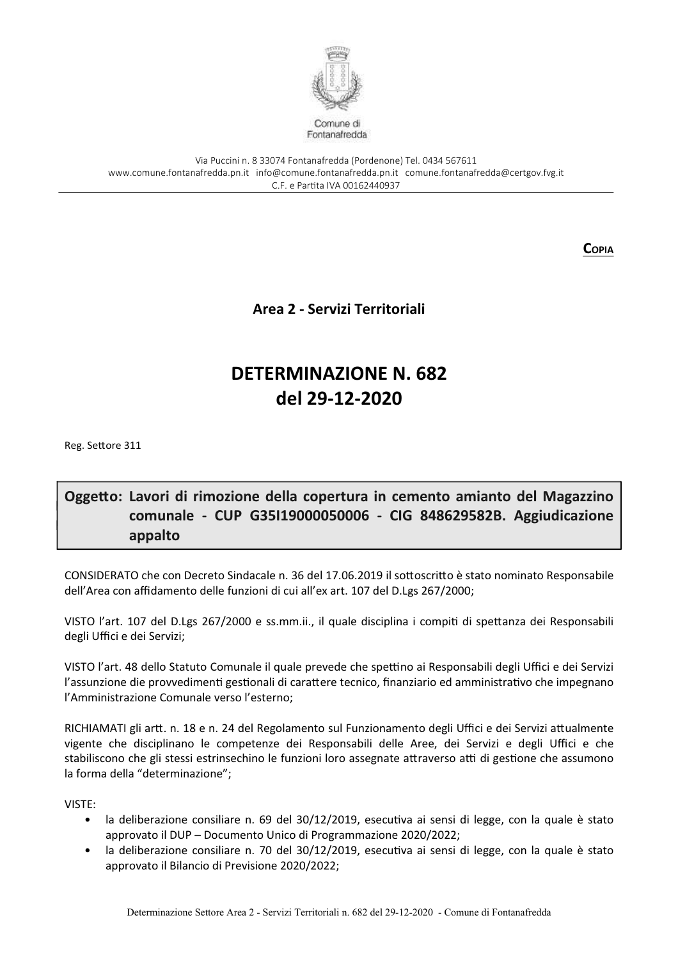

Via Puccini n. 8 33074 Fontanafredda (Pordenone) Tel. 0434 567611 www.comune.fontanafredda.pn.it info@comune.fontanafredda.pn.it comune.fontanafredda@certgov.fyg.it C.F. e Partita IVA 00162440937

**COPIA** 

Area 2 - Servizi Territoriali

# **DETERMINAZIONE N. 682** del 29-12-2020

Reg. Settore 311

## Oggetto: Lavori di rimozione della copertura in cemento amianto del Magazzino comunale - CUP G35119000050006 - CIG 848629582B. Aggiudicazione appalto

CONSIDERATO che con Decreto Sindacale n. 36 del 17.06.2019 il sottoscritto è stato nominato Responsabile dell'Area con affidamento delle funzioni di cui all'ex art. 107 del D.Lgs 267/2000;

VISTO l'art. 107 del D.Lgs 267/2000 e ss.mm.ii., il quale disciplina i compiti di spettanza dei Responsabili degli Uffici e dei Servizi;

VISTO l'art. 48 dello Statuto Comunale il quale prevede che spettino ai Responsabili degli Uffici e dei Servizi l'assunzione die provvedimenti gestionali di carattere tecnico, finanziario ed amministrativo che impegnano l'Amministrazione Comunale verso l'esterno;

RICHIAMATI gli artt. n. 18 e n. 24 del Regolamento sul Funzionamento degli Uffici e dei Servizi attualmente vigente che disciplinano le competenze dei Responsabili delle Aree, dei Servizi e degli Uffici e che stabiliscono che gli stessi estrinsechino le funzioni loro assegnate attraverso atti di gestione che assumono la forma della "determinazione";

VISTE:

- · la deliberazione consiliare n. 69 del 30/12/2019, esecutiva ai sensi di legge, con la quale è stato approvato il DUP - Documento Unico di Programmazione 2020/2022;
- la deliberazione consiliare n. 70 del 30/12/2019, esecutiva ai sensi di legge, con la quale è stato  $\bullet$ approvato il Bilancio di Previsione 2020/2022;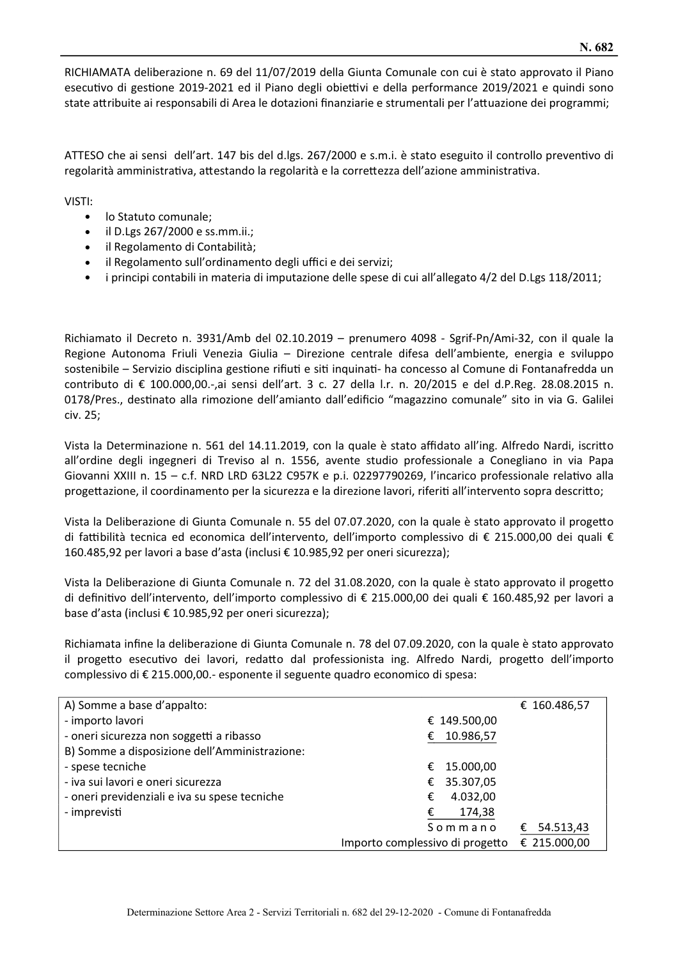RICHIAMATA deliberazione n. 69 del 11/07/2019 della Giunta Comunale con cui è stato approvato il Piano esecutivo di gestione 2019-2021 ed il Piano degli obiettivi e della performance 2019/2021 e quindi sono state attribuite ai responsabili di Area le dotazioni finanziarie e strumentali per l'attuazione dei programmi;

ATTESO che ai sensi dell'art. 147 bis del d.lgs. 267/2000 e s.m.i. è stato eseguito il controllo preventivo di regolarità amministrativa, attestando la regolarità e la correttezza dell'azione amministrativa.

VISTI:

- lo Statuto comunale;
- $\bullet$  il D.Lgs 267/2000 e ss.mm.ii.;
- il Regolamento di Contabilità;
- · il Regolamento sull'ordinamento degli uffici e dei servizi;
- i principi contabili in materia di imputazione delle spese di cui all'allegato 4/2 del D.Lgs 118/2011;

Richiamato il Decreto n. 3931/Amb del 02.10.2019 – prenumero 4098 - Sgrif-Pn/Ami-32, con il quale la Regione Autonoma Friuli Venezia Giulia – Direzione centrale difesa dell'ambiente, energia e sviluppo sostenibile – Servizio disciplina gestione rifiuti e siti inquinati- ha concesso al Comune di Fontanafredda un contributo di € 100.000,00.-,ai sensi dell'art. 3 c. 27 della l.r. n. 20/2015 e del d.P.Reg. 28.08.2015 n. 0178/Pres., destinato alla rimozione dell'amianto dall'edificio "magazzino comunale" sito in via G. Galilei civ. 25;

Vista la Determinazione n. 561 del 14.11.2019, con la quale è stato affidato all'ing. Alfredo Nardi, iscritto all'ordine degli ingegneri di Treviso al n. 1556, avente studio professionale a Conegliano in via Papa Giovanni XXIII n. 15 - c.f. NRD LRD 63L22 C957K e p.i. 02297790269, l'incarico professionale relativo alla progettazione, il coordinamento per la sicurezza e la direzione lavori, riferiti all'intervento sopra descritto;

Vista la Deliberazione di Giunta Comunale n. 55 del 07.07.2020, con la quale è stato approvato il progetto di fattibilità tecnica ed economica dell'intervento, dell'importo complessivo di € 215.000,00 dei quali € 160.485,92 per lavori a base d'asta (inclusi € 10.985,92 per oneri sicurezza);

Vista la Deliberazione di Giunta Comunale n. 72 del 31.08.2020, con la quale è stato approvato il progetto di definitivo dell'intervento, dell'importo complessivo di € 215.000,00 dei quali € 160.485,92 per lavori a base d'asta (inclusi € 10.985,92 per oneri sicurezza);

Richiamata infine la deliberazione di Giunta Comunale n. 78 del 07.09.2020, con la quale è stato approvato il progetto esecutivo dei lavori, redatto dal professionista ing. Alfredo Nardi, progetto dell'importo complessivo di € 215.000,00.- esponente il seguente quadro economico di spesa:

| A) Somme a base d'appalto:                    |                                 | € 160.486,57   |
|-----------------------------------------------|---------------------------------|----------------|
| - importo lavori                              | € 149.500,00                    |                |
| - oneri sicurezza non soggetti a ribasso      | 10.986,57<br>€                  |                |
| B) Somme a disposizione dell'Amministrazione: |                                 |                |
| - spese tecniche                              | 15.000,00<br>€                  |                |
| - iva sui lavori e oneri sicurezza            | 35.307,05<br>€                  |                |
| - oneri previdenziali e iva su spese tecniche | 4.032,00<br>€                   |                |
| - imprevisti                                  | 174,38<br>€                     |                |
|                                               | Sommano                         | 54.513,43<br>€ |
|                                               | Importo complessivo di progetto | € 215.000,00   |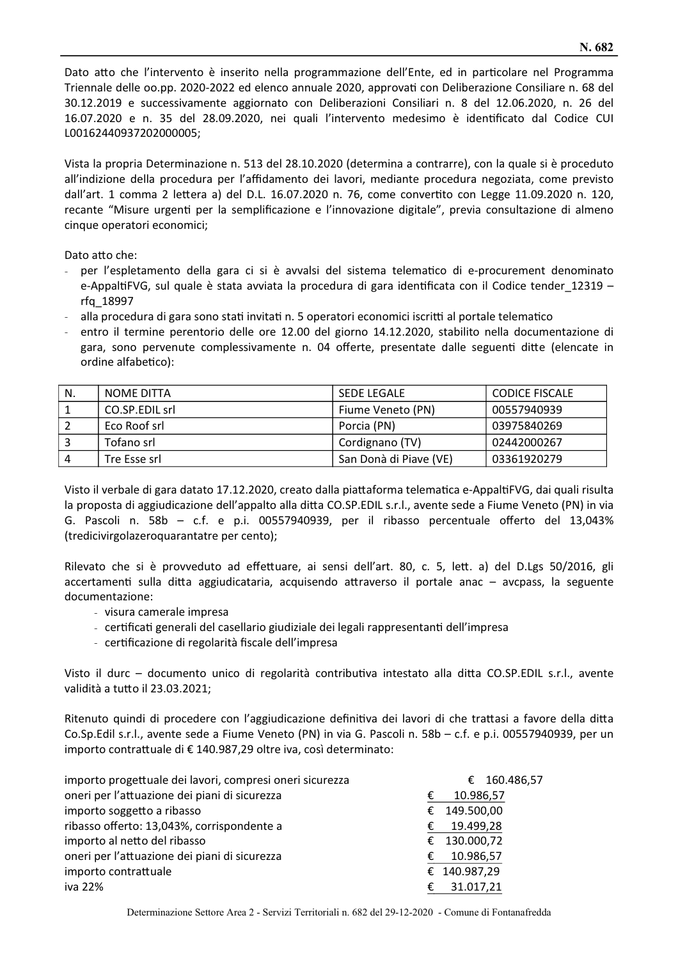Dato atto che l'intervento è inserito nella programmazione dell'Ente, ed in particolare nel Programma Triennale delle oo.pp. 2020-2022 ed elenco annuale 2020, approvati con Deliberazione Consiliare n. 68 del 30.12.2019 e successivamente aggiornato con Deliberazioni Consiliari n. 8 del 12.06.2020, n. 26 del 16.07.2020 e n. 35 del 28.09.2020, nei quali l'intervento medesimo è identificato dal Codice CUI L00162440937202000005;

Vista la propria Determinazione n. 513 del 28.10.2020 (determina a contrarre), con la quale si è proceduto all'indizione della procedura per l'affidamento dei lavori, mediante procedura negoziata, come previsto dall'art. 1 comma 2 lettera a) del D.L. 16.07.2020 n. 76, come convertito con Legge 11.09.2020 n. 120. recante "Misure urgenti per la semplificazione e l'innovazione digitale", previa consultazione di almeno cinque operatori economici;

Dato atto che:

- per l'espletamento della gara ci si è avvalsi del sistema telematico di e-procurement denominato e-AppaltiFVG, sul quale è stata avviata la procedura di gara identificata con il Codice tender\_12319 rfg 18997
- alla procedura di gara sono stati invitati n. 5 operatori economici iscritti al portale telematico
- entro il termine perentorio delle ore 12.00 del giorno 14.12.2020, stabilito nella documentazione di gara, sono pervenute complessivamente n. 04 offerte, presentate dalle seguenti ditte (elencate in ordine alfabetico):

| N. | NOME DITTA     | <b>SEDE LEGALE</b>     | <b>CODICE FISCALE</b> |
|----|----------------|------------------------|-----------------------|
|    | CO.SP.EDIL srl | Fiume Veneto (PN)      | 00557940939           |
|    | Eco Roof srl   | Porcia (PN)            | 03975840269           |
|    | Tofano srl     | Cordignano (TV)        | 02442000267           |
| 4  | Tre Esse srl   | San Donà di Piave (VE) | 03361920279           |

Visto il verbale di gara datato 17.12.2020, creato dalla piattaforma telematica e-AppaltiFVG, dai quali risulta la proposta di aggiudicazione dell'appalto alla ditta CO.SP.EDIL s.r.l., avente sede a Fiume Veneto (PN) in via G. Pascoli n. 58b - c.f. e p.i. 00557940939, per il ribasso percentuale offerto del 13,043% (tredicivirgolazeroquarantatre per cento);

Rilevato che si è provveduto ad effettuare, ai sensi dell'art. 80, c. 5, lett. a) del D.Lgs 50/2016, gli accertamenti sulla ditta aggiudicataria, acquisendo attraverso il portale anac - avcpass, la seguente documentazione:

- visura camerale impresa
- certificati generali del casellario giudiziale dei legali rappresentanti dell'impresa
- certificazione di regolarità fiscale dell'impresa

Visto il durc - documento unico di regolarità contributiva intestato alla ditta CO.SP.EDIL s.r.l., avente validità a tutto il 23.03.2021;

Ritenuto quindi di procedere con l'aggiudicazione definitiva dei lavori di che trattasi a favore della ditta Co.Sp.Edil s.r.l., avente sede a Fiume Veneto (PN) in via G. Pascoli n. 58b - c.f. e p.i. 00557940939, per un importo contrattuale di € 140.987,29 oltre iva, così determinato:

| importo progettuale dei lavori, compresi oneri sicurezza |   | € 160.486,57 |
|----------------------------------------------------------|---|--------------|
| oneri per l'attuazione dei piani di sicurezza            | € | 10.986,57    |
| importo soggetto a ribasso                               |   | € 149.500,00 |
| ribasso offerto: 13,043%, corrispondente a               | € | 19.499,28    |
| importo al netto del ribasso                             |   | € 130.000,72 |
| oneri per l'attuazione dei piani di sicurezza            | € | 10.986,57    |
| importo contrattuale                                     |   | € 140.987,29 |
| iva 22%                                                  | € | 31.017,21    |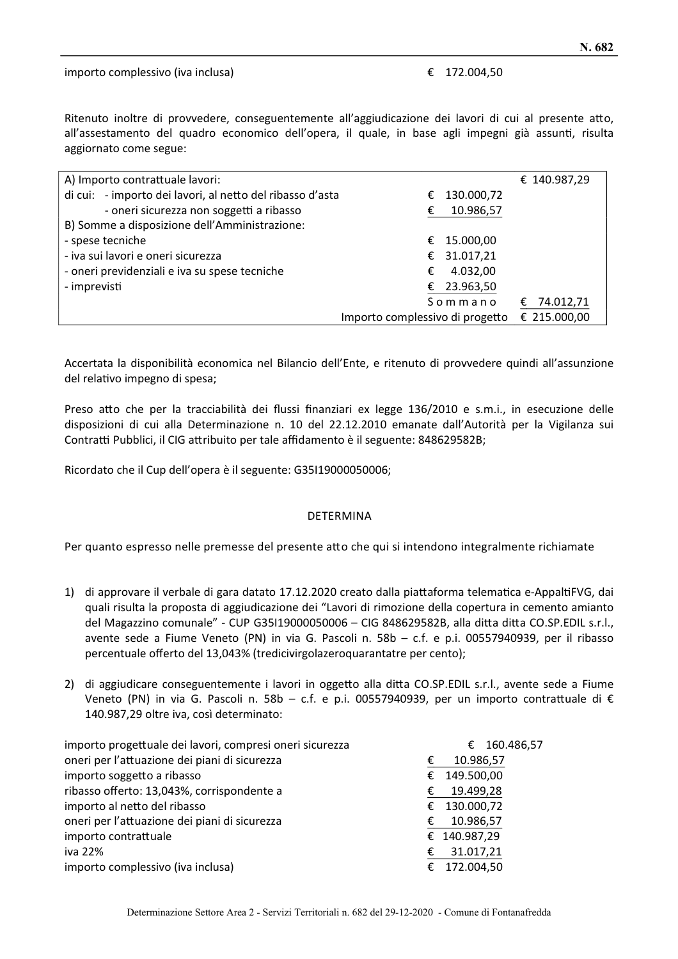#### importo complessivo (iva inclusa)

#### € 172.004.50

Ritenuto inoltre di provvedere, conseguentemente all'aggiudicazione dei lavori di cui al presente atto, all'assestamento del quadro economico dell'opera, il quale, in base agli impegni già assunti, risulta aggiornato come segue:

| A) Importo contrattuale lavori:                           |                                 |            | € 140.987,29   |
|-----------------------------------------------------------|---------------------------------|------------|----------------|
| di cui: - importo dei lavori, al netto del ribasso d'asta | €                               | 130.000,72 |                |
| - oneri sicurezza non soggetti a ribasso                  | €                               | 10.986,57  |                |
| B) Somme a disposizione dell'Amministrazione:             |                                 |            |                |
| - spese tecniche                                          | €                               | 15.000,00  |                |
| - iva sui lavori e oneri sicurezza                        | €                               | 31.017,21  |                |
| - oneri previdenziali e iva su spese tecniche             | €                               | 4.032,00   |                |
| - imprevisti                                              | €                               | 23.963,50  |                |
|                                                           |                                 | Sommano    | 74.012,71<br>€ |
|                                                           | Importo complessivo di progetto |            | € 215.000,00   |

Accertata la disponibilità economica nel Bilancio dell'Ente, e ritenuto di provvedere quindi all'assunzione del relativo impegno di spesa;

Preso atto che per la tracciabilità dei flussi finanziari ex legge 136/2010 e s.m.i., in esecuzione delle disposizioni di cui alla Determinazione n. 10 del 22.12.2010 emanate dall'Autorità per la Vigilanza sui Contratti Pubblici, il CIG attribuito per tale affidamento è il seguente: 848629582B;

Ricordato che il Cup dell'opera è il seguente: G35I19000050006;

#### **DETERMINA**

Per quanto espresso nelle premesse del presente atto che qui si intendono integralmente richiamate

- 1) di approvare il verbale di gara datato 17.12.2020 creato dalla piattaforma telematica e-AppaltiFVG, dai quali risulta la proposta di aggiudicazione dei "Lavori di rimozione della copertura in cemento amianto del Magazzino comunale" - CUP G35I19000050006 - CIG 848629582B, alla ditta ditta CO.SP.EDIL s.r.l., avente sede a Fiume Veneto (PN) in via G. Pascoli n. 58b - c.f. e p.i. 00557940939, per il ribasso percentuale offerto del 13,043% (tredicivirgolazeroquarantatre per cento);
- 2) di aggiudicare conseguentemente i lavori in oggetto alla ditta CO.SP.EDIL s.r.l., avente sede a Fiume Veneto (PN) in via G. Pascoli n. 58b - c.f. e p.i. 00557940939, per un importo contrattuale di € 140.987,29 oltre iva, così determinato:

| importo progettuale dei lavori, compresi oneri sicurezza |   | € 160.486,57 |
|----------------------------------------------------------|---|--------------|
| oneri per l'attuazione dei piani di sicurezza            | € | 10.986,57    |
| importo soggetto a ribasso                               | € | 149.500,00   |
| ribasso offerto: 13,043%, corrispondente a               | € | 19.499,28    |
| importo al netto del ribasso                             |   | € 130.000,72 |
| oneri per l'attuazione dei piani di sicurezza            | € | 10.986,57    |
| importo contrattuale                                     |   | € 140.987,29 |
| iva 22%                                                  | € | 31.017,21    |
| importo complessivo (iva inclusa)                        |   | € 172.004,50 |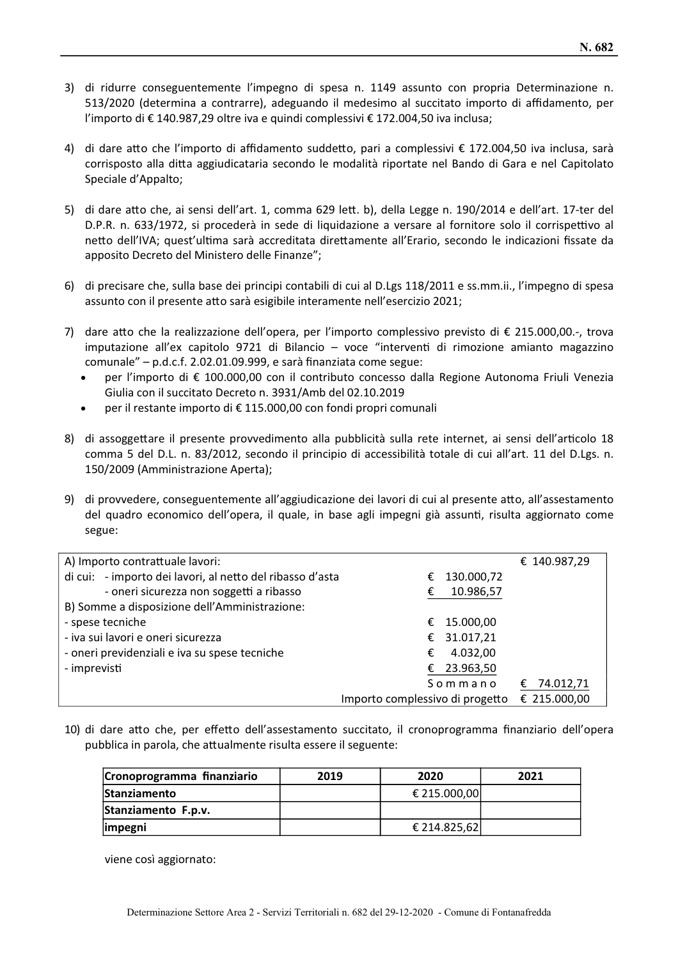- 3) di ridurre conseguentemente l'impegno di spesa n. 1149 assunto con propria Determinazione n. 513/2020 (determina a contrarre), adeguando il medesimo al succitato importo di affidamento, per l'importo di €140.987,29 oltre iva e quindi complessivi €172.004,50 iva inclusa;
- 4) di dare atto che l'importo di affidamento suddetto, pari a complessivi € 172.004,50 iva inclusa, sarà corrisposto alla ditta aggiudicataria secondo le modalità riportate nel Bando di Gara e nel Capitolato Speciale d'Appalto;
- 5) di dare atto che, ai sensi dell'art. 1, comma 629 lett. b), della Legge n. 190/2014 e dell'art. 17-ter del D.P.R. n. 633/1972, si procederà in sede di liquidazione a versare al fornitore solo il corrispettivo al netto dell'IVA; quest'ultima sarà accreditata direttamente all'Erario, secondo le indicazioni fissate da apposito Decreto del Ministero delle Finanze";
- 6) di precisare che, sulla base dei principi contabili di cui al D.Lgs 118/2011 e ss.mm.ii., l'impegno di spesa assunto con il presente atto sarà esigibile interamente nell'esercizio 2021;
- 7) dare atto che la realizzazione dell'opera, per l'importo complessivo previsto di € 215.000,00.-, trova imputazione all'ex capitolo 9721 di Bilancio - voce "interventi di rimozione amianto magazzino comunale" - p.d.c.f. 2.02.01.09.999, e sarà finanziata come segue:
	- per l'importo di € 100.000,00 con il contributo concesso dalla Regione Autonoma Friuli Venezia Giulia con il succitato Decreto n. 3931/Amb del 02.10.2019
	- per il restante importo di € 115.000,00 con fondi propri comunali
- 8) di assoggettare il presente provvedimento alla pubblicità sulla rete internet, ai sensi dell'articolo 18 comma 5 del D.L. n. 83/2012, secondo il principio di accessibilità totale di cui all'art. 11 del D.Lgs. n. 150/2009 (Amministrazione Aperta);
- 9) di provvedere, conseguentemente all'aggiudicazione dei lavori di cui al presente atto, all'assestamento del quadro economico dell'opera, il quale, in base agli impegni già assunti, risulta aggiornato come segue:

| A) Importo contrattuale lavori:                           | € 140.987,29                                    |  |
|-----------------------------------------------------------|-------------------------------------------------|--|
| di cui: - importo dei lavori, al netto del ribasso d'asta | 130.000,72<br>€                                 |  |
| - oneri sicurezza non soggetti a ribasso                  | 10.986,57<br>€                                  |  |
| B) Somme a disposizione dell'Amministrazione:             |                                                 |  |
| - spese tecniche                                          | 15.000,00<br>€                                  |  |
| - iva sui lavori e oneri sicurezza                        | € 31.017,21                                     |  |
| - oneri previdenziali e iva su spese tecniche             | 4.032,00<br>€                                   |  |
| - imprevisti                                              | 23.963,50<br>€                                  |  |
|                                                           | Sommano<br>74.012,71<br>€                       |  |
|                                                           | € 215.000,00<br>Importo complessivo di progetto |  |

10) di dare atto che, per effetto dell'assestamento succitato, il cronoprogramma finanziario dell'opera pubblica in parola, che attualmente risulta essere il seguente:

| Cronoprogramma finanziario | 2019 | 2020         | 2021 |
|----------------------------|------|--------------|------|
| <b>Stanziamento</b>        |      | € 215.000,00 |      |
| Stanziamento F.p.v.        |      |              |      |
| impegni                    |      | € 214.825,62 |      |

viene così aggiornato: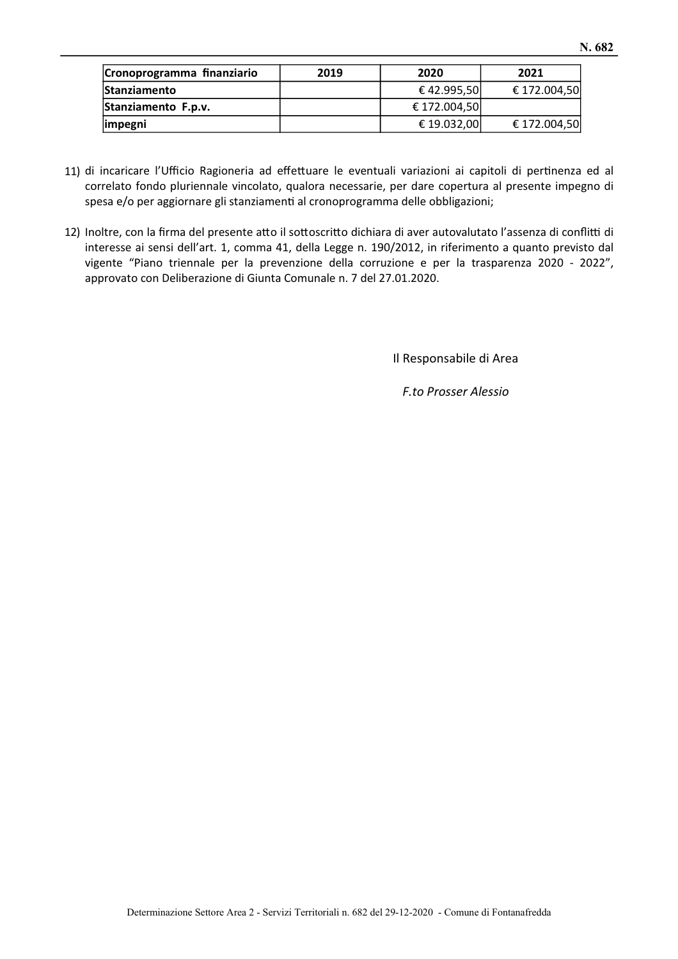| Cronoprogramma finanziario | 2019 | 2020         | 2021         |
|----------------------------|------|--------------|--------------|
| <b>Stanziamento</b>        |      | € 42.995,50  | € 172.004,50 |
| Stanziamento F.p.v.        |      | € 172.004,50 |              |
| impegni                    |      | € 19.032,00  | € 172.004,50 |

- 11) di incaricare l'Ufficio Ragioneria ad effettuare le eventuali variazioni ai capitoli di pertinenza ed al correlato fondo pluriennale vincolato, qualora necessarie, per dare copertura al presente impegno di spesa e/o per aggiornare gli stanziamenti al cronoprogramma delle obbligazioni;
- 12) Inoltre, con la firma del presente atto il sottoscritto dichiara di aver autovalutato l'assenza di conflitti di interesse ai sensi dell'art. 1, comma 41, della Legge n. 190/2012, in riferimento a quanto previsto dal vigente "Piano triennale per la prevenzione della corruzione e per la trasparenza 2020 - 2022", approvato con Deliberazione di Giunta Comunale n. 7 del 27.01.2020.

Il Responsabile di Area

F.to Prosser Alessio